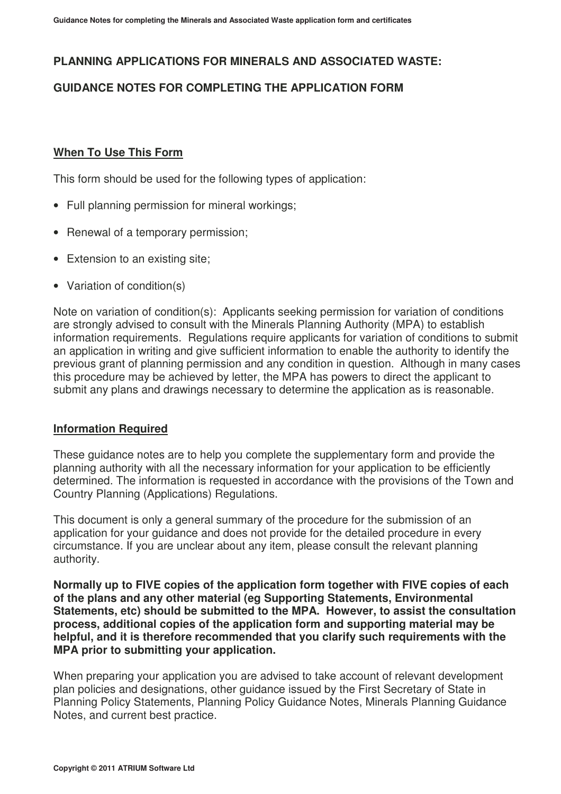## **PLANNING APPLICATIONS FOR MINERALS AND ASSOCIATED WASTE:**

## **GUIDANCE NOTES FOR COMPLETING THE APPLICATION FORM**

#### **When To Use This Form**

This form should be used for the following types of application:

- Full planning permission for mineral workings;
- Renewal of a temporary permission;
- Extension to an existing site;
- Variation of condition(s)

Note on variation of condition(s): Applicants seeking permission for variation of conditions are strongly advised to consult with the Minerals Planning Authority (MPA) to establish information requirements. Regulations require applicants for variation of conditions to submit an application in writing and give sufficient information to enable the authority to identify the previous grant of planning permission and any condition in question. Although in many cases this procedure may be achieved by letter, the MPA has powers to direct the applicant to submit any plans and drawings necessary to determine the application as is reasonable.

#### **Information Required**

These guidance notes are to help you complete the supplementary form and provide the planning authority with all the necessary information for your application to be efficiently determined. The information is requested in accordance with the provisions of the Town and Country Planning (Applications) Regulations.

This document is only a general summary of the procedure for the submission of an application for your guidance and does not provide for the detailed procedure in every circumstance. If you are unclear about any item, please consult the relevant planning authority.

**Normally up to FIVE copies of the application form together with FIVE copies of each of the plans and any other material (eg Supporting Statements, Environmental Statements, etc) should be submitted to the MPA. However, to assist the consultation process, additional copies of the application form and supporting material may be helpful, and it is therefore recommended that you clarify such requirements with the MPA prior to submitting your application.** 

When preparing your application you are advised to take account of relevant development plan policies and designations, other guidance issued by the First Secretary of State in Planning Policy Statements, Planning Policy Guidance Notes, Minerals Planning Guidance Notes, and current best practice.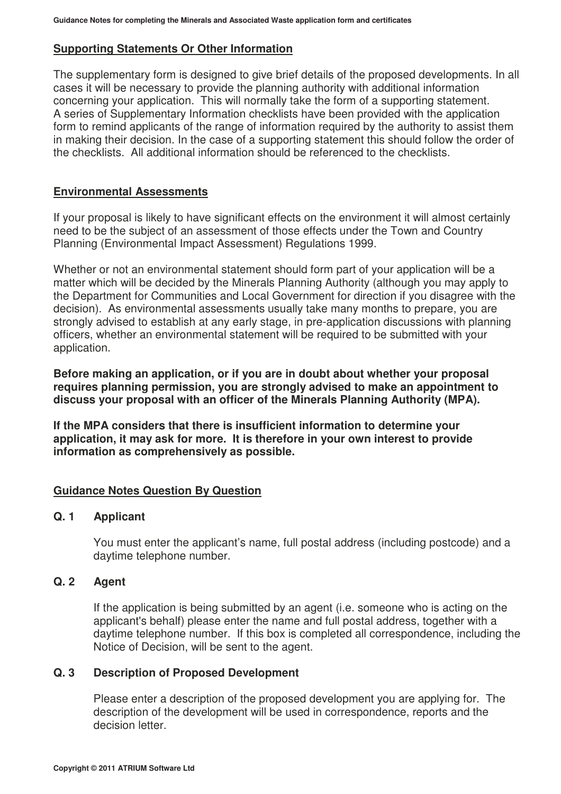### **Supporting Statements Or Other Information**

The supplementary form is designed to give brief details of the proposed developments. In all cases it will be necessary to provide the planning authority with additional information concerning your application. This will normally take the form of a supporting statement. A series of Supplementary Information checklists have been provided with the application form to remind applicants of the range of information required by the authority to assist them in making their decision. In the case of a supporting statement this should follow the order of the checklists. All additional information should be referenced to the checklists.

#### **Environmental Assessments**

If your proposal is likely to have significant effects on the environment it will almost certainly need to be the subject of an assessment of those effects under the Town and Country Planning (Environmental Impact Assessment) Regulations 1999.

Whether or not an environmental statement should form part of your application will be a matter which will be decided by the Minerals Planning Authority (although you may apply to the Department for Communities and Local Government for direction if you disagree with the decision). As environmental assessments usually take many months to prepare, you are strongly advised to establish at any early stage, in pre-application discussions with planning officers, whether an environmental statement will be required to be submitted with your application.

**Before making an application, or if you are in doubt about whether your proposal requires planning permission, you are strongly advised to make an appointment to discuss your proposal with an officer of the Minerals Planning Authority (MPA).** 

**If the MPA considers that there is insufficient information to determine your application, it may ask for more. It is therefore in your own interest to provide information as comprehensively as possible.** 

#### **Guidance Notes Question By Question**

#### **Q. 1 Applicant**

 You must enter the applicant's name, full postal address (including postcode) and a daytime telephone number.

#### **Q. 2 Agent**

 If the application is being submitted by an agent (i.e. someone who is acting on the applicant's behalf) please enter the name and full postal address, together with a daytime telephone number. If this box is completed all correspondence, including the Notice of Decision, will be sent to the agent.

#### **Q. 3 Description of Proposed Development**

 Please enter a description of the proposed development you are applying for. The description of the development will be used in correspondence, reports and the decision letter.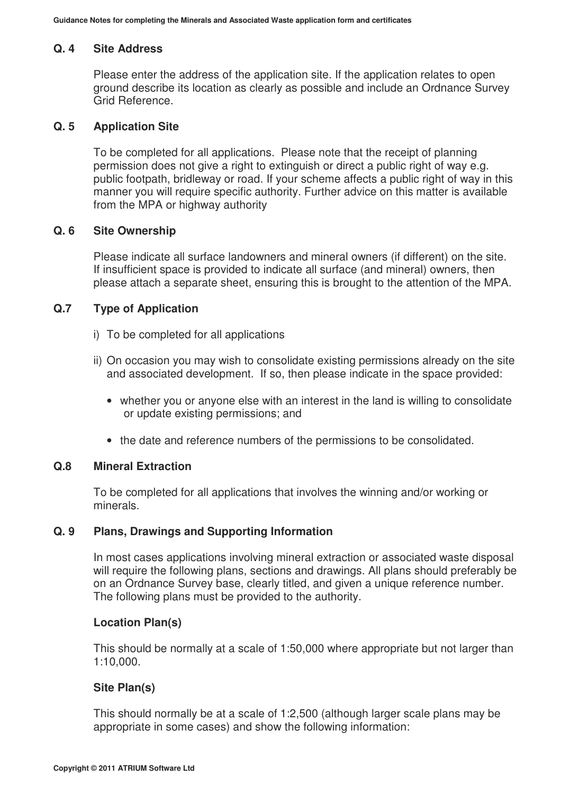#### **Q. 4 Site Address**

 Please enter the address of the application site. If the application relates to open ground describe its location as clearly as possible and include an Ordnance Survey Grid Reference.

#### **Q. 5 Application Site**

 To be completed for all applications. Please note that the receipt of planning permission does not give a right to extinguish or direct a public right of way e.g. public footpath, bridleway or road. If your scheme affects a public right of way in this manner you will require specific authority. Further advice on this matter is available from the MPA or highway authority

#### **Q. 6 Site Ownership**

 Please indicate all surface landowners and mineral owners (if different) on the site. If insufficient space is provided to indicate all surface (and mineral) owners, then please attach a separate sheet, ensuring this is brought to the attention of the MPA.

#### **Q.7 Type of Application**

- i) To be completed for all applications
- ii) On occasion you may wish to consolidate existing permissions already on the site and associated development. If so, then please indicate in the space provided:
	- whether you or anyone else with an interest in the land is willing to consolidate or update existing permissions; and
	- the date and reference numbers of the permissions to be consolidated.

#### **Q.8 Mineral Extraction**

 To be completed for all applications that involves the winning and/or working or minerals.

#### **Q. 9 Plans, Drawings and Supporting Information**

 In most cases applications involving mineral extraction or associated waste disposal will require the following plans, sections and drawings. All plans should preferably be on an Ordnance Survey base, clearly titled, and given a unique reference number. The following plans must be provided to the authority.

#### **Location Plan(s)**

This should be normally at a scale of 1:50,000 where appropriate but not larger than 1:10,000.

#### **Site Plan(s)**

This should normally be at a scale of 1:2,500 (although larger scale plans may be appropriate in some cases) and show the following information: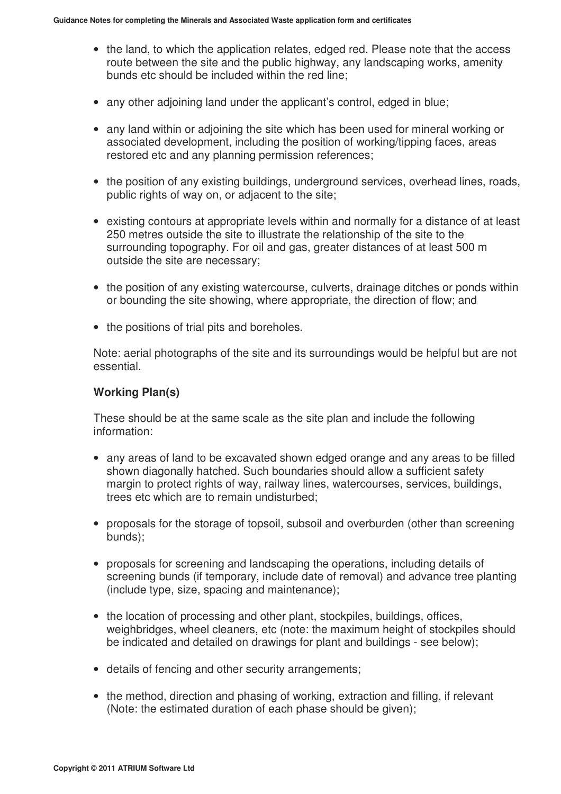- the land, to which the application relates, edged red. Please note that the access route between the site and the public highway, any landscaping works, amenity bunds etc should be included within the red line;
- any other adjoining land under the applicant's control, edged in blue;
- any land within or adjoining the site which has been used for mineral working or associated development, including the position of working/tipping faces, areas restored etc and any planning permission references;
- the position of any existing buildings, underground services, overhead lines, roads, public rights of way on, or adjacent to the site;
- existing contours at appropriate levels within and normally for a distance of at least 250 metres outside the site to illustrate the relationship of the site to the surrounding topography. For oil and gas, greater distances of at least 500 m outside the site are necessary;
- the position of any existing watercourse, culverts, drainage ditches or ponds within or bounding the site showing, where appropriate, the direction of flow; and
- the positions of trial pits and boreholes.

Note: aerial photographs of the site and its surroundings would be helpful but are not essential.

## **Working Plan(s)**

These should be at the same scale as the site plan and include the following information:

- any areas of land to be excavated shown edged orange and any areas to be filled shown diagonally hatched. Such boundaries should allow a sufficient safety margin to protect rights of way, railway lines, watercourses, services, buildings, trees etc which are to remain undisturbed;
- proposals for the storage of topsoil, subsoil and overburden (other than screening bunds);
- proposals for screening and landscaping the operations, including details of screening bunds (if temporary, include date of removal) and advance tree planting (include type, size, spacing and maintenance);
- the location of processing and other plant, stockpiles, buildings, offices, weighbridges, wheel cleaners, etc (note: the maximum height of stockpiles should be indicated and detailed on drawings for plant and buildings - see below);
- details of fencing and other security arrangements;
- the method, direction and phasing of working, extraction and filling, if relevant (Note: the estimated duration of each phase should be given);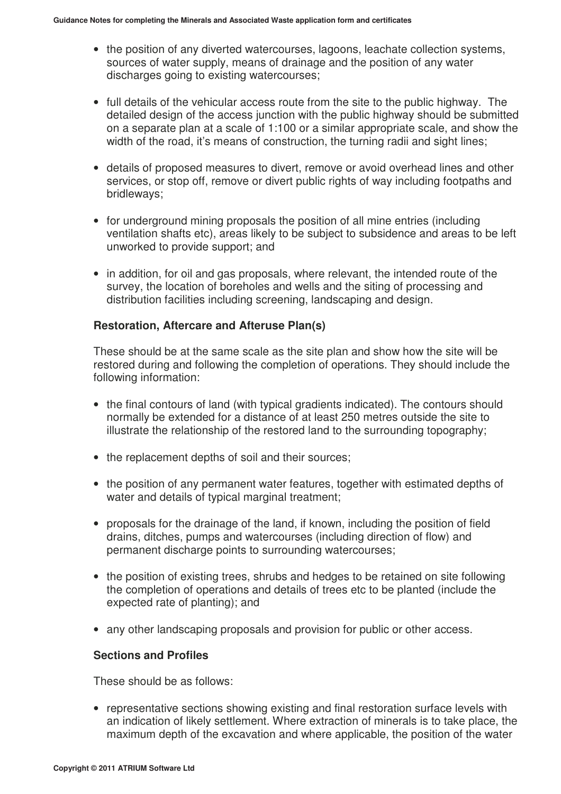- the position of any diverted watercourses, lagoons, leachate collection systems, sources of water supply, means of drainage and the position of any water discharges going to existing watercourses;
- full details of the vehicular access route from the site to the public highway. The detailed design of the access junction with the public highway should be submitted on a separate plan at a scale of 1:100 or a similar appropriate scale, and show the width of the road, it's means of construction, the turning radii and sight lines;
- details of proposed measures to divert, remove or avoid overhead lines and other services, or stop off, remove or divert public rights of way including footpaths and bridleways;
- for underground mining proposals the position of all mine entries (including ventilation shafts etc), areas likely to be subject to subsidence and areas to be left unworked to provide support; and
- in addition, for oil and gas proposals, where relevant, the intended route of the survey, the location of boreholes and wells and the siting of processing and distribution facilities including screening, landscaping and design.

# **Restoration, Aftercare and Afteruse Plan(s)**

These should be at the same scale as the site plan and show how the site will be restored during and following the completion of operations. They should include the following information:

- the final contours of land (with typical gradients indicated). The contours should normally be extended for a distance of at least 250 metres outside the site to illustrate the relationship of the restored land to the surrounding topography;
- the replacement depths of soil and their sources;
- the position of any permanent water features, together with estimated depths of water and details of typical marginal treatment;
- proposals for the drainage of the land, if known, including the position of field drains, ditches, pumps and watercourses (including direction of flow) and permanent discharge points to surrounding watercourses;
- the position of existing trees, shrubs and hedges to be retained on site following the completion of operations and details of trees etc to be planted (include the expected rate of planting); and
- any other landscaping proposals and provision for public or other access.

## **Sections and Profiles**

These should be as follows:

• representative sections showing existing and final restoration surface levels with an indication of likely settlement. Where extraction of minerals is to take place, the maximum depth of the excavation and where applicable, the position of the water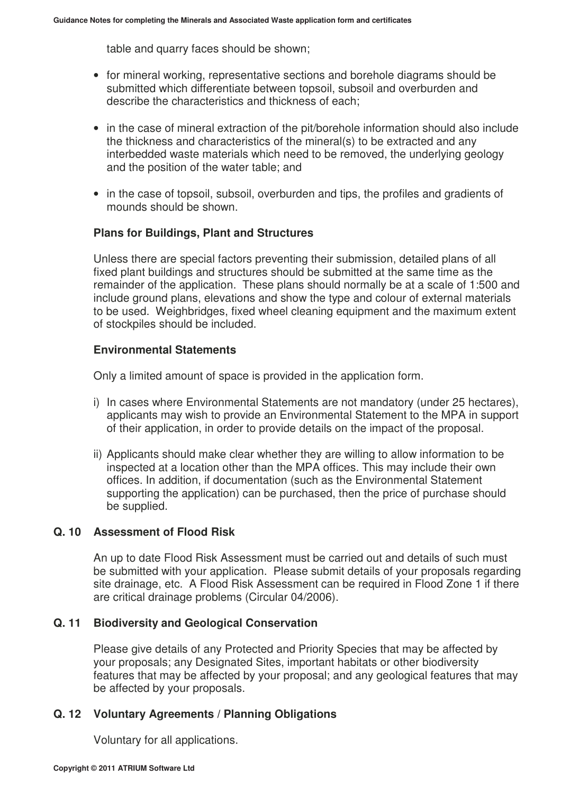table and quarry faces should be shown;

- for mineral working, representative sections and borehole diagrams should be submitted which differentiate between topsoil, subsoil and overburden and describe the characteristics and thickness of each;
- in the case of mineral extraction of the pit/borehole information should also include the thickness and characteristics of the mineral(s) to be extracted and any interbedded waste materials which need to be removed, the underlying geology and the position of the water table; and
- in the case of topsoil, subsoil, overburden and tips, the profiles and gradients of mounds should be shown.

### **Plans for Buildings, Plant and Structures**

Unless there are special factors preventing their submission, detailed plans of all fixed plant buildings and structures should be submitted at the same time as the remainder of the application. These plans should normally be at a scale of 1:500 and include ground plans, elevations and show the type and colour of external materials to be used. Weighbridges, fixed wheel cleaning equipment and the maximum extent of stockpiles should be included.

## **Environmental Statements**

Only a limited amount of space is provided in the application form.

- i) In cases where Environmental Statements are not mandatory (under 25 hectares), applicants may wish to provide an Environmental Statement to the MPA in support of their application, in order to provide details on the impact of the proposal.
- ii) Applicants should make clear whether they are willing to allow information to be inspected at a location other than the MPA offices. This may include their own offices. In addition, if documentation (such as the Environmental Statement supporting the application) can be purchased, then the price of purchase should be supplied.

## **Q. 10 Assessment of Flood Risk**

An up to date Flood Risk Assessment must be carried out and details of such must be submitted with your application. Please submit details of your proposals regarding site drainage, etc. A Flood Risk Assessment can be required in Flood Zone 1 if there are critical drainage problems (Circular 04/2006).

## **Q. 11 Biodiversity and Geological Conservation**

Please give details of any Protected and Priority Species that may be affected by your proposals; any Designated Sites, important habitats or other biodiversity features that may be affected by your proposal; and any geological features that may be affected by your proposals.

## **Q. 12 Voluntary Agreements / Planning Obligations**

Voluntary for all applications.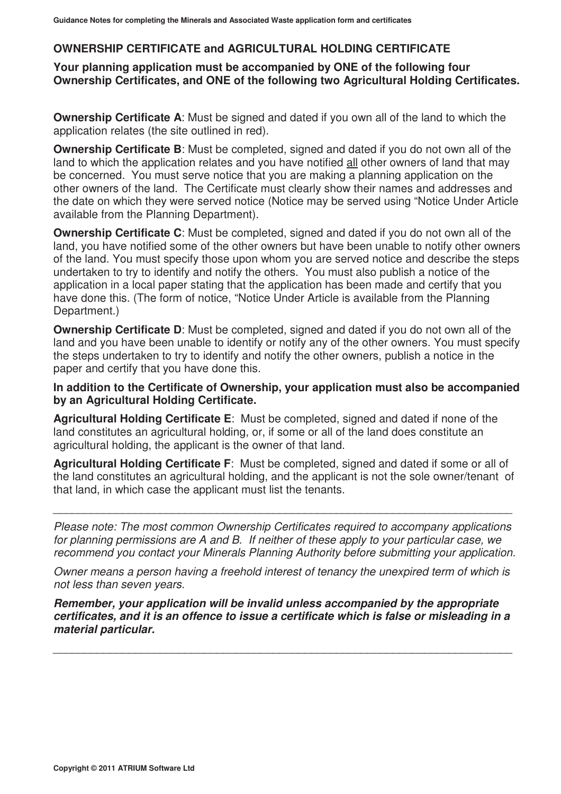# **OWNERSHIP CERTIFICATE and AGRICULTURAL HOLDING CERTIFICATE**

**Your planning application must be accompanied by ONE of the following four Ownership Certificates, and ONE of the following two Agricultural Holding Certificates.** 

**Ownership Certificate A**: Must be signed and dated if you own all of the land to which the application relates (the site outlined in red).

**Ownership Certificate B**: Must be completed, signed and dated if you do not own all of the land to which the application relates and you have notified all other owners of land that may be concerned. You must serve notice that you are making a planning application on the other owners of the land. The Certificate must clearly show their names and addresses and the date on which they were served notice (Notice may be served using "Notice Under Article available from the Planning Department).

**Ownership Certificate C**: Must be completed, signed and dated if you do not own all of the land, you have notified some of the other owners but have been unable to notify other owners of the land. You must specify those upon whom you are served notice and describe the steps undertaken to try to identify and notify the others. You must also publish a notice of the application in a local paper stating that the application has been made and certify that you have done this. (The form of notice, "Notice Under Article is available from the Planning Department.)

**Ownership Certificate D:** Must be completed, signed and dated if you do not own all of the land and you have been unable to identify or notify any of the other owners. You must specify the steps undertaken to try to identify and notify the other owners, publish a notice in the paper and certify that you have done this.

**In addition to the Certificate of Ownership, your application must also be accompanied by an Agricultural Holding Certificate.** 

**Agricultural Holding Certificate E**: Must be completed, signed and dated if none of the land constitutes an agricultural holding, or, if some or all of the land does constitute an agricultural holding, the applicant is the owner of that land.

**Agricultural Holding Certificate F**: Must be completed, signed and dated if some or all of the land constitutes an agricultural holding, and the applicant is not the sole owner/tenant of that land, in which case the applicant must list the tenants.

Please note: The most common Ownership Certificates required to accompany applications for planning permissions are A and B. If neither of these apply to your particular case, we recommend you contact your Minerals Planning Authority before submitting your application.

\_\_\_\_\_\_\_\_\_\_\_\_\_\_\_\_\_\_\_\_\_\_\_\_\_\_\_\_\_\_\_\_\_\_\_\_\_\_\_\_\_\_\_\_\_\_\_\_\_\_\_\_\_\_\_\_\_\_\_\_\_\_\_\_\_\_\_\_\_\_\_\_\_

Owner means a person having a freehold interest of tenancy the unexpired term of which is not less than seven years.

*Remember, your application will be invalid unless accompanied by the appropriate certificates, and it is an offence to issue a certificate which is false or misleading in a material particular.* 

\_\_\_\_\_\_\_\_\_\_\_\_\_\_\_\_\_\_\_\_\_\_\_\_\_\_\_\_\_\_\_\_\_\_\_\_\_\_\_\_\_\_\_\_\_\_\_\_\_\_\_\_\_\_\_\_\_\_\_\_\_\_\_\_\_\_\_\_\_\_\_\_\_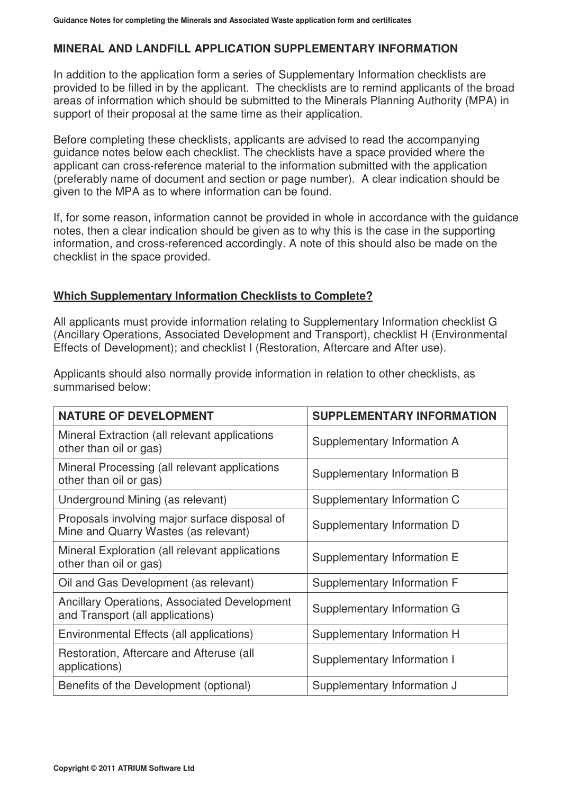# **MINERAL AND LANDFILL APPLICATION SUPPLEMENTARY INFORMATION**

In addition to the application form a series of Supplementary Information checklists are provided to be filled in by the applicant. The checklists are to remind applicants of the broad areas of information which should be submitted to the Minerals Planning Authority (MPA) in support of their proposal at the same time as their application.

Before completing these checklists, applicants are advised to read the accompanying guidance notes below each checklist. The checklists have a space provided where the applicant can cross-reference material to the information submitted with the application (preferably name of document and section or page number). A clear indication should be given to the MPA as to where information can be found.

If, for some reason, information cannot be provided in whole in accordance with the guidance notes, then a clear indication should be given as to why this is the case in the supporting information, and cross-referenced accordingly. A note of this should also be made on the checklist in the space provided.

## **Which Supplementary Information Checklists to Complete?**

All applicants must provide information relating to Supplementary Information checklist G (Ancillary Operations, Associated Development and Transport), checklist H (Environmental Effects of Development); and checklist I (Restoration, Aftercare and After use).

Applicants should also normally provide information in relation to other checklists, as summarised below:

| <b>NATURE OF DEVELOPMENT</b>                                                            | <b>SUPPLEMENTARY INFORMATION</b> |
|-----------------------------------------------------------------------------------------|----------------------------------|
| Mineral Extraction (all relevant applications<br>other than oil or gas)                 | Supplementary Information A      |
| Mineral Processing (all relevant applications<br>other than oil or gas)                 | Supplementary Information B      |
| Underground Mining (as relevant)                                                        | Supplementary Information C      |
| Proposals involving major surface disposal of<br>Mine and Quarry Wastes (as relevant)   | Supplementary Information D      |
| Mineral Exploration (all relevant applications<br>other than oil or gas)                | Supplementary Information E      |
| Oil and Gas Development (as relevant)                                                   | Supplementary Information F      |
| <b>Ancillary Operations, Associated Development</b><br>and Transport (all applications) | Supplementary Information G      |
| Environmental Effects (all applications)                                                | Supplementary Information H      |
| Restoration, Aftercare and Afteruse (all<br>applications)                               | Supplementary Information I      |
| Benefits of the Development (optional)                                                  | Supplementary Information J      |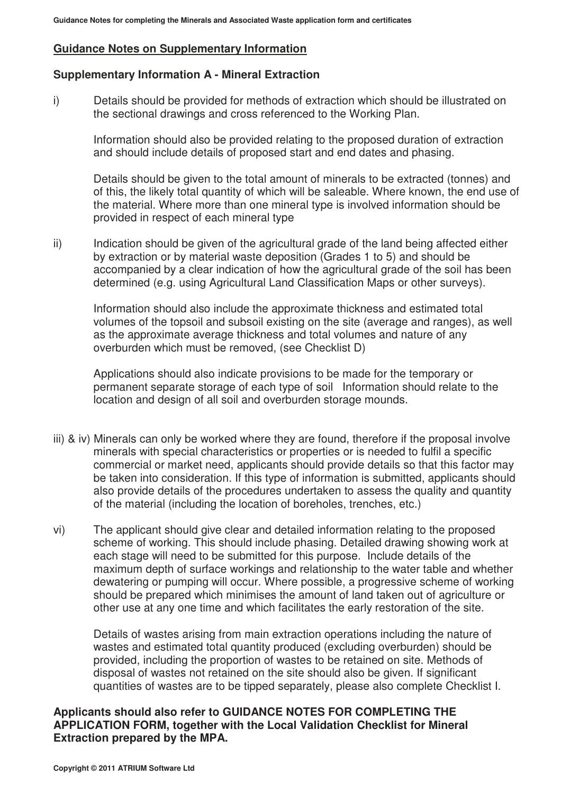## **Guidance Notes on Supplementary Information**

## **Supplementary Information A - Mineral Extraction**

i) Details should be provided for methods of extraction which should be illustrated on the sectional drawings and cross referenced to the Working Plan.

 Information should also be provided relating to the proposed duration of extraction and should include details of proposed start and end dates and phasing.

 Details should be given to the total amount of minerals to be extracted (tonnes) and of this, the likely total quantity of which will be saleable. Where known, the end use of the material. Where more than one mineral type is involved information should be provided in respect of each mineral type

ii) Indication should be given of the agricultural grade of the land being affected either by extraction or by material waste deposition (Grades 1 to 5) and should be accompanied by a clear indication of how the agricultural grade of the soil has been determined (e.g. using Agricultural Land Classification Maps or other surveys).

 Information should also include the approximate thickness and estimated total volumes of the topsoil and subsoil existing on the site (average and ranges), as well as the approximate average thickness and total volumes and nature of any overburden which must be removed, (see Checklist D)

 Applications should also indicate provisions to be made for the temporary or permanent separate storage of each type of soil Information should relate to the location and design of all soil and overburden storage mounds.

- iii) & iv) Minerals can only be worked where they are found, therefore if the proposal involve minerals with special characteristics or properties or is needed to fulfil a specific commercial or market need, applicants should provide details so that this factor may be taken into consideration. If this type of information is submitted, applicants should also provide details of the procedures undertaken to assess the quality and quantity of the material (including the location of boreholes, trenches, etc.)
- vi) The applicant should give clear and detailed information relating to the proposed scheme of working. This should include phasing. Detailed drawing showing work at each stage will need to be submitted for this purpose. Include details of the maximum depth of surface workings and relationship to the water table and whether dewatering or pumping will occur. Where possible, a progressive scheme of working should be prepared which minimises the amount of land taken out of agriculture or other use at any one time and which facilitates the early restoration of the site.

Details of wastes arising from main extraction operations including the nature of wastes and estimated total quantity produced (excluding overburden) should be provided, including the proportion of wastes to be retained on site. Methods of disposal of wastes not retained on the site should also be given. If significant quantities of wastes are to be tipped separately, please also complete Checklist I.

#### **Applicants should also refer to GUIDANCE NOTES FOR COMPLETING THE APPLICATION FORM, together with the Local Validation Checklist for Mineral Extraction prepared by the MPA.**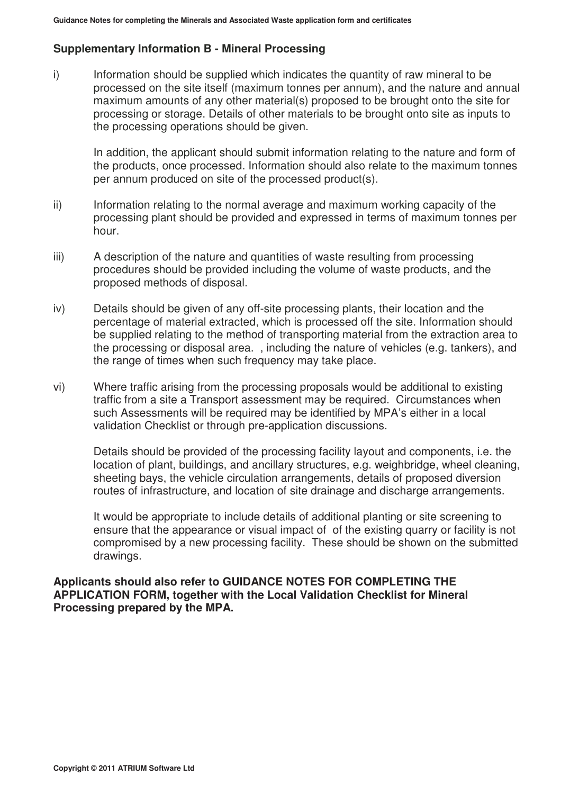# **Supplementary Information B - Mineral Processing**

i) Information should be supplied which indicates the quantity of raw mineral to be processed on the site itself (maximum tonnes per annum), and the nature and annual maximum amounts of any other material(s) proposed to be brought onto the site for processing or storage. Details of other materials to be brought onto site as inputs to the processing operations should be given.

 In addition, the applicant should submit information relating to the nature and form of the products, once processed. Information should also relate to the maximum tonnes per annum produced on site of the processed product(s).

- ii) Information relating to the normal average and maximum working capacity of the processing plant should be provided and expressed in terms of maximum tonnes per hour.
- iii) A description of the nature and quantities of waste resulting from processing procedures should be provided including the volume of waste products, and the proposed methods of disposal.
- iv) Details should be given of any off-site processing plants, their location and the percentage of material extracted, which is processed off the site. Information should be supplied relating to the method of transporting material from the extraction area to the processing or disposal area. , including the nature of vehicles (e.g. tankers), and the range of times when such frequency may take place.
- vi) Where traffic arising from the processing proposals would be additional to existing traffic from a site a Transport assessment may be required. Circumstances when such Assessments will be required may be identified by MPA's either in a local validation Checklist or through pre-application discussions.

 Details should be provided of the processing facility layout and components, i.e. the location of plant, buildings, and ancillary structures, e.g. weighbridge, wheel cleaning, sheeting bays, the vehicle circulation arrangements, details of proposed diversion routes of infrastructure, and location of site drainage and discharge arrangements.

 It would be appropriate to include details of additional planting or site screening to ensure that the appearance or visual impact of of the existing quarry or facility is not compromised by a new processing facility. These should be shown on the submitted drawings.

**Applicants should also refer to GUIDANCE NOTES FOR COMPLETING THE APPLICATION FORM, together with the Local Validation Checklist for Mineral Processing prepared by the MPA.**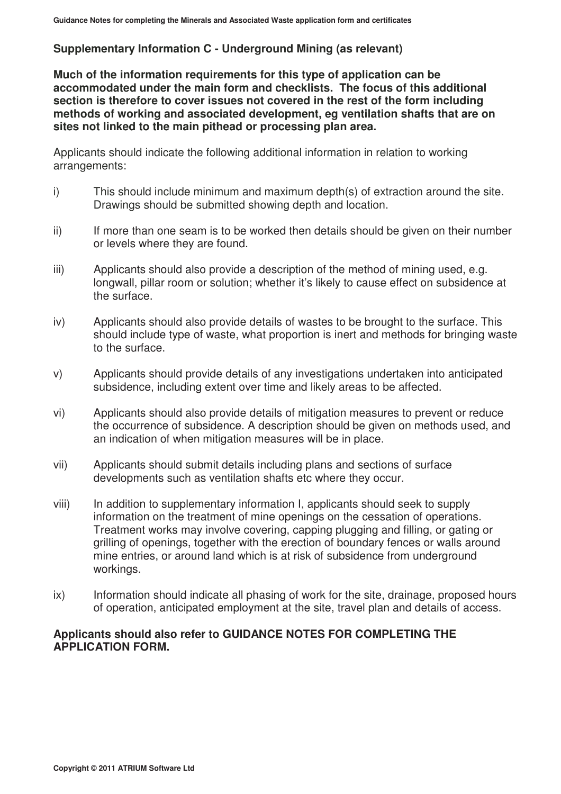# **Supplementary Information C - Underground Mining (as relevant)**

**Much of the information requirements for this type of application can be accommodated under the main form and checklists. The focus of this additional section is therefore to cover issues not covered in the rest of the form including methods of working and associated development, eg ventilation shafts that are on sites not linked to the main pithead or processing plan area.** 

Applicants should indicate the following additional information in relation to working arrangements:

- i) This should include minimum and maximum depth(s) of extraction around the site. Drawings should be submitted showing depth and location.
- ii) If more than one seam is to be worked then details should be given on their number or levels where they are found.
- iii) Applicants should also provide a description of the method of mining used, e.g. longwall, pillar room or solution; whether it's likely to cause effect on subsidence at the surface.
- iv) Applicants should also provide details of wastes to be brought to the surface. This should include type of waste, what proportion is inert and methods for bringing waste to the surface.
- v) Applicants should provide details of any investigations undertaken into anticipated subsidence, including extent over time and likely areas to be affected.
- vi) Applicants should also provide details of mitigation measures to prevent or reduce the occurrence of subsidence. A description should be given on methods used, and an indication of when mitigation measures will be in place.
- vii) Applicants should submit details including plans and sections of surface developments such as ventilation shafts etc where they occur.
- viii) In addition to supplementary information I, applicants should seek to supply information on the treatment of mine openings on the cessation of operations. Treatment works may involve covering, capping plugging and filling, or gating or grilling of openings, together with the erection of boundary fences or walls around mine entries, or around land which is at risk of subsidence from underground workings.
- ix) Information should indicate all phasing of work for the site, drainage, proposed hours of operation, anticipated employment at the site, travel plan and details of access.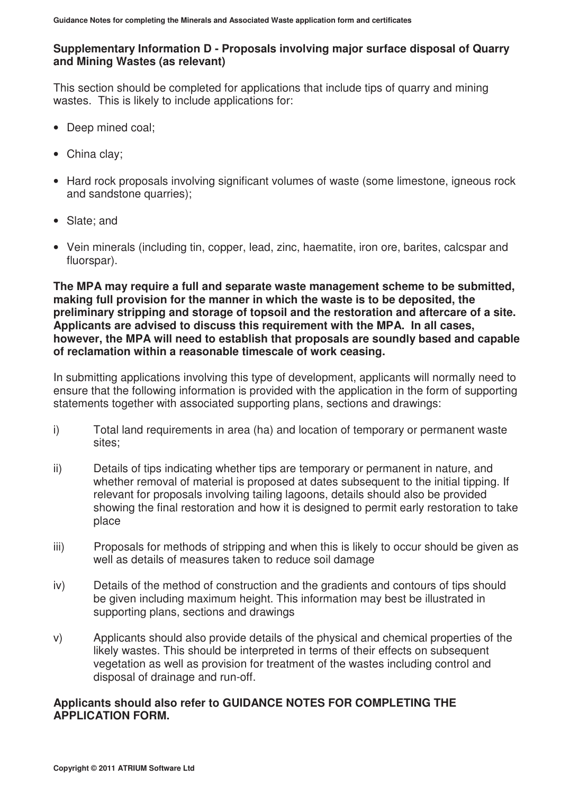# **Supplementary Information D - Proposals involving major surface disposal of Quarry and Mining Wastes (as relevant)**

This section should be completed for applications that include tips of quarry and mining wastes. This is likely to include applications for:

- Deep mined coal;
- China clay;
- Hard rock proposals involving significant volumes of waste (some limestone, igneous rock and sandstone quarries);
- Slate; and
- Vein minerals (including tin, copper, lead, zinc, haematite, iron ore, barites, calcspar and fluorspar).

**The MPA may require a full and separate waste management scheme to be submitted, making full provision for the manner in which the waste is to be deposited, the preliminary stripping and storage of topsoil and the restoration and aftercare of a site. Applicants are advised to discuss this requirement with the MPA. In all cases, however, the MPA will need to establish that proposals are soundly based and capable of reclamation within a reasonable timescale of work ceasing.** 

In submitting applications involving this type of development, applicants will normally need to ensure that the following information is provided with the application in the form of supporting statements together with associated supporting plans, sections and drawings:

- i) Total land requirements in area (ha) and location of temporary or permanent waste sites;
- ii) Details of tips indicating whether tips are temporary or permanent in nature, and whether removal of material is proposed at dates subsequent to the initial tipping. If relevant for proposals involving tailing lagoons, details should also be provided showing the final restoration and how it is designed to permit early restoration to take place
- iii) Proposals for methods of stripping and when this is likely to occur should be given as well as details of measures taken to reduce soil damage
- iv) Details of the method of construction and the gradients and contours of tips should be given including maximum height. This information may best be illustrated in supporting plans, sections and drawings
- v) Applicants should also provide details of the physical and chemical properties of the likely wastes. This should be interpreted in terms of their effects on subsequent vegetation as well as provision for treatment of the wastes including control and disposal of drainage and run-off.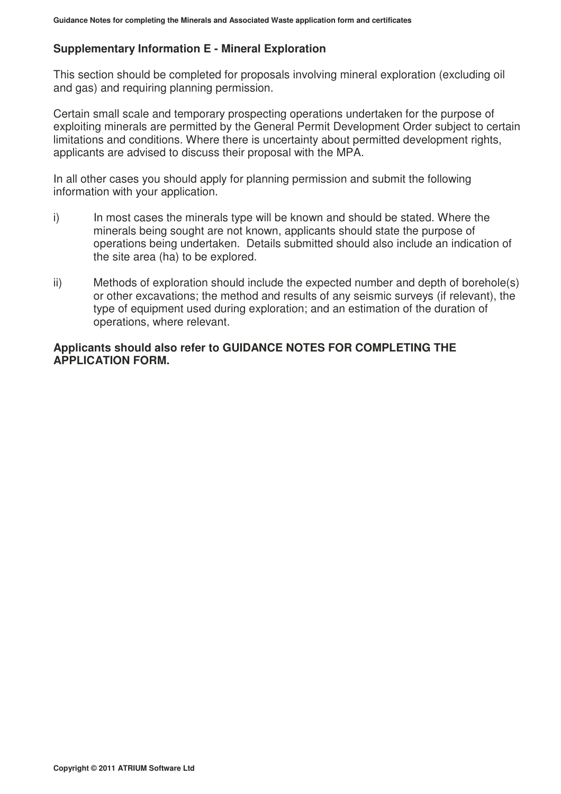## **Supplementary Information E - Mineral Exploration**

This section should be completed for proposals involving mineral exploration (excluding oil and gas) and requiring planning permission.

Certain small scale and temporary prospecting operations undertaken for the purpose of exploiting minerals are permitted by the General Permit Development Order subject to certain limitations and conditions. Where there is uncertainty about permitted development rights, applicants are advised to discuss their proposal with the MPA.

In all other cases you should apply for planning permission and submit the following information with your application.

- i) In most cases the minerals type will be known and should be stated. Where the minerals being sought are not known, applicants should state the purpose of operations being undertaken. Details submitted should also include an indication of the site area (ha) to be explored.
- ii) Methods of exploration should include the expected number and depth of borehole(s) or other excavations; the method and results of any seismic surveys (if relevant), the type of equipment used during exploration; and an estimation of the duration of operations, where relevant.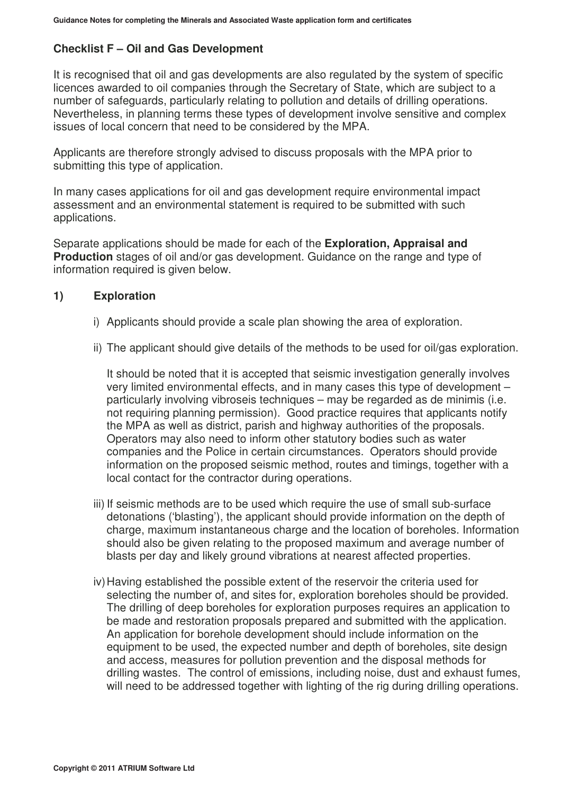## **Checklist F – Oil and Gas Development**

It is recognised that oil and gas developments are also regulated by the system of specific licences awarded to oil companies through the Secretary of State, which are subject to a number of safeguards, particularly relating to pollution and details of drilling operations. Nevertheless, in planning terms these types of development involve sensitive and complex issues of local concern that need to be considered by the MPA.

Applicants are therefore strongly advised to discuss proposals with the MPA prior to submitting this type of application.

In many cases applications for oil and gas development require environmental impact assessment and an environmental statement is required to be submitted with such applications.

Separate applications should be made for each of the **Exploration, Appraisal and Production** stages of oil and/or gas development. Guidance on the range and type of information required is given below.

#### **1) Exploration**

- i) Applicants should provide a scale plan showing the area of exploration.
- ii) The applicant should give details of the methods to be used for oil/gas exploration.

It should be noted that it is accepted that seismic investigation generally involves very limited environmental effects, and in many cases this type of development – particularly involving vibroseis techniques – may be regarded as de minimis (i.e. not requiring planning permission). Good practice requires that applicants notify the MPA as well as district, parish and highway authorities of the proposals. Operators may also need to inform other statutory bodies such as water companies and the Police in certain circumstances. Operators should provide information on the proposed seismic method, routes and timings, together with a local contact for the contractor during operations.

- iii) If seismic methods are to be used which require the use of small sub-surface detonations ('blasting'), the applicant should provide information on the depth of charge, maximum instantaneous charge and the location of boreholes. Information should also be given relating to the proposed maximum and average number of blasts per day and likely ground vibrations at nearest affected properties.
- iv) Having established the possible extent of the reservoir the criteria used for selecting the number of, and sites for, exploration boreholes should be provided. The drilling of deep boreholes for exploration purposes requires an application to be made and restoration proposals prepared and submitted with the application. An application for borehole development should include information on the equipment to be used, the expected number and depth of boreholes, site design and access, measures for pollution prevention and the disposal methods for drilling wastes. The control of emissions, including noise, dust and exhaust fumes, will need to be addressed together with lighting of the rig during drilling operations.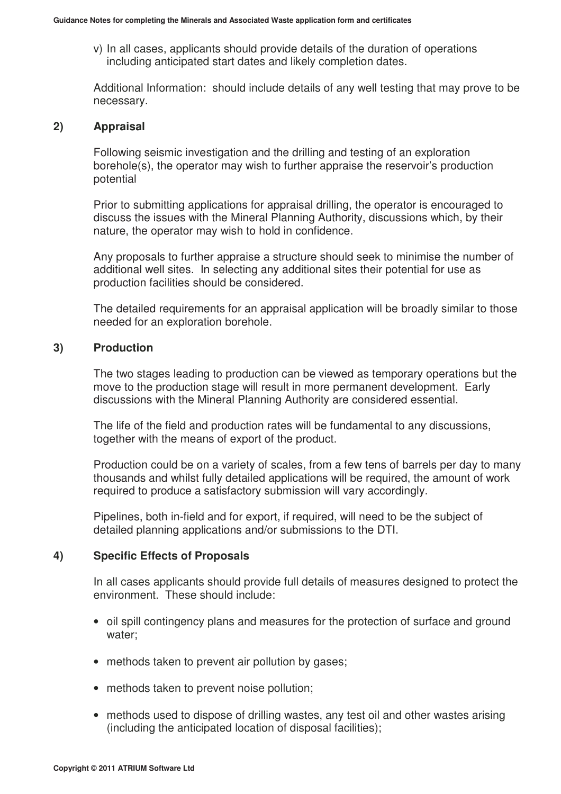v) In all cases, applicants should provide details of the duration of operations including anticipated start dates and likely completion dates.

Additional Information: should include details of any well testing that may prove to be necessary.

### **2) Appraisal**

Following seismic investigation and the drilling and testing of an exploration borehole(s), the operator may wish to further appraise the reservoir's production potential

Prior to submitting applications for appraisal drilling, the operator is encouraged to discuss the issues with the Mineral Planning Authority, discussions which, by their nature, the operator may wish to hold in confidence.

Any proposals to further appraise a structure should seek to minimise the number of additional well sites. In selecting any additional sites their potential for use as production facilities should be considered.

The detailed requirements for an appraisal application will be broadly similar to those needed for an exploration borehole.

### **3) Production**

The two stages leading to production can be viewed as temporary operations but the move to the production stage will result in more permanent development. Early discussions with the Mineral Planning Authority are considered essential.

The life of the field and production rates will be fundamental to any discussions, together with the means of export of the product.

Production could be on a variety of scales, from a few tens of barrels per day to many thousands and whilst fully detailed applications will be required, the amount of work required to produce a satisfactory submission will vary accordingly.

Pipelines, both in-field and for export, if required, will need to be the subject of detailed planning applications and/or submissions to the DTI.

## **4) Specific Effects of Proposals**

In all cases applicants should provide full details of measures designed to protect the environment. These should include:

- oil spill contingency plans and measures for the protection of surface and ground water;
- methods taken to prevent air pollution by gases;
- methods taken to prevent noise pollution;
- methods used to dispose of drilling wastes, any test oil and other wastes arising (including the anticipated location of disposal facilities);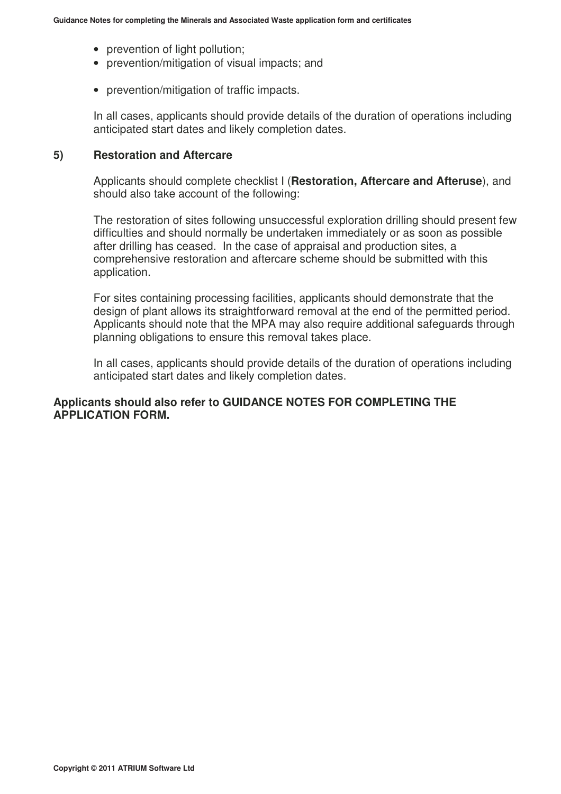- prevention of light pollution:
- prevention/mitigation of visual impacts; and
- prevention/mitigation of traffic impacts.

In all cases, applicants should provide details of the duration of operations including anticipated start dates and likely completion dates.

#### **5) Restoration and Aftercare**

Applicants should complete checklist I (**Restoration, Aftercare and Afteruse**), and should also take account of the following:

The restoration of sites following unsuccessful exploration drilling should present few difficulties and should normally be undertaken immediately or as soon as possible after drilling has ceased. In the case of appraisal and production sites, a comprehensive restoration and aftercare scheme should be submitted with this application.

For sites containing processing facilities, applicants should demonstrate that the design of plant allows its straightforward removal at the end of the permitted period. Applicants should note that the MPA may also require additional safeguards through planning obligations to ensure this removal takes place.

In all cases, applicants should provide details of the duration of operations including anticipated start dates and likely completion dates.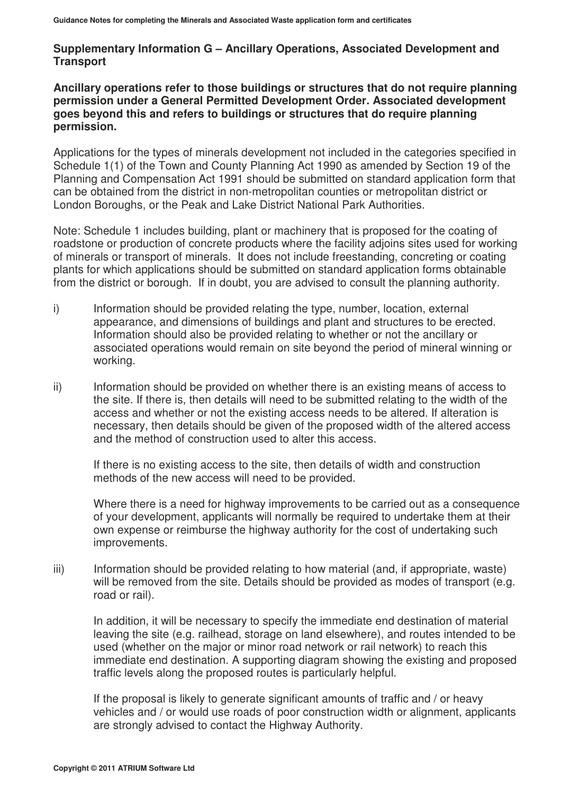# **Supplementary Information G – Ancillary Operations, Associated Development and Transport**

### **Ancillary operations refer to those buildings or structures that do not require planning permission under a General Permitted Development Order. Associated development goes beyond this and refers to buildings or structures that do require planning permission.**

Applications for the types of minerals development not included in the categories specified in Schedule 1(1) of the Town and County Planning Act 1990 as amended by Section 19 of the Planning and Compensation Act 1991 should be submitted on standard application form that can be obtained from the district in non-metropolitan counties or metropolitan district or London Boroughs, or the Peak and Lake District National Park Authorities.

Note: Schedule 1 includes building, plant or machinery that is proposed for the coating of roadstone or production of concrete products where the facility adjoins sites used for working of minerals or transport of minerals. It does not include freestanding, concreting or coating plants for which applications should be submitted on standard application forms obtainable from the district or borough. If in doubt, you are advised to consult the planning authority.

- i) Information should be provided relating the type, number, location, external appearance, and dimensions of buildings and plant and structures to be erected. Information should also be provided relating to whether or not the ancillary or associated operations would remain on site beyond the period of mineral winning or working.
- ii) Information should be provided on whether there is an existing means of access to the site. If there is, then details will need to be submitted relating to the width of the access and whether or not the existing access needs to be altered. If alteration is necessary, then details should be given of the proposed width of the altered access and the method of construction used to alter this access.

If there is no existing access to the site, then details of width and construction methods of the new access will need to be provided.

Where there is a need for highway improvements to be carried out as a consequence of your development, applicants will normally be required to undertake them at their own expense or reimburse the highway authority for the cost of undertaking such improvements.

iii) Information should be provided relating to how material (and, if appropriate, waste) will be removed from the site. Details should be provided as modes of transport (e.g. road or rail).

In addition, it will be necessary to specify the immediate end destination of material leaving the site (e.g. railhead, storage on land elsewhere), and routes intended to be used (whether on the major or minor road network or rail network) to reach this immediate end destination. A supporting diagram showing the existing and proposed traffic levels along the proposed routes is particularly helpful.

If the proposal is likely to generate significant amounts of traffic and / or heavy vehicles and / or would use roads of poor construction width or alignment, applicants are strongly advised to contact the Highway Authority.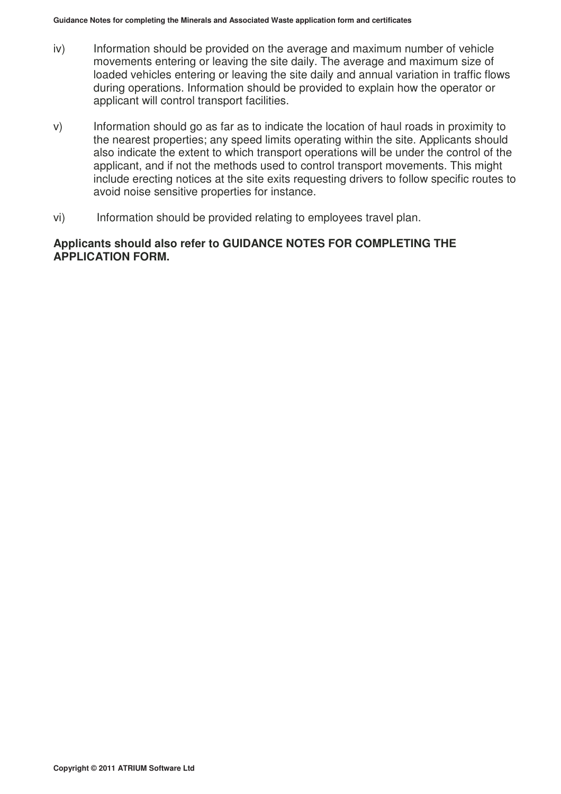- iv) Information should be provided on the average and maximum number of vehicle movements entering or leaving the site daily. The average and maximum size of loaded vehicles entering or leaving the site daily and annual variation in traffic flows during operations. Information should be provided to explain how the operator or applicant will control transport facilities.
- v) Information should go as far as to indicate the location of haul roads in proximity to the nearest properties; any speed limits operating within the site. Applicants should also indicate the extent to which transport operations will be under the control of the applicant, and if not the methods used to control transport movements. This might include erecting notices at the site exits requesting drivers to follow specific routes to avoid noise sensitive properties for instance.
- vi) Information should be provided relating to employees travel plan.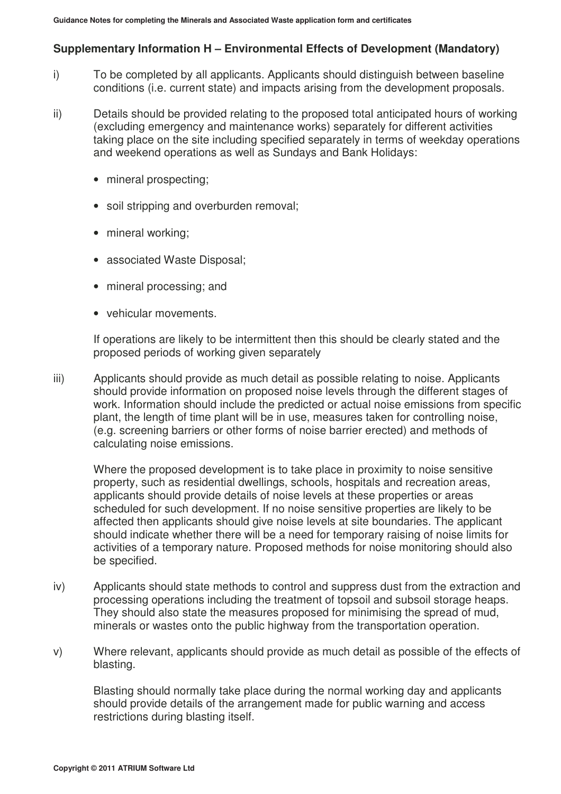## **Supplementary Information H – Environmental Effects of Development (Mandatory)**

- i) To be completed by all applicants. Applicants should distinguish between baseline conditions (i.e. current state) and impacts arising from the development proposals.
- ii) Details should be provided relating to the proposed total anticipated hours of working (excluding emergency and maintenance works) separately for different activities taking place on the site including specified separately in terms of weekday operations and weekend operations as well as Sundays and Bank Holidays:
	- mineral prospecting;
	- soil stripping and overburden removal;
	- mineral working;
	- associated Waste Disposal;
	- mineral processing; and
	- vehicular movements.

If operations are likely to be intermittent then this should be clearly stated and the proposed periods of working given separately

iii) Applicants should provide as much detail as possible relating to noise. Applicants should provide information on proposed noise levels through the different stages of work. Information should include the predicted or actual noise emissions from specific plant, the length of time plant will be in use, measures taken for controlling noise, (e.g. screening barriers or other forms of noise barrier erected) and methods of calculating noise emissions.

 Where the proposed development is to take place in proximity to noise sensitive property, such as residential dwellings, schools, hospitals and recreation areas, applicants should provide details of noise levels at these properties or areas scheduled for such development. If no noise sensitive properties are likely to be affected then applicants should give noise levels at site boundaries. The applicant should indicate whether there will be a need for temporary raising of noise limits for activities of a temporary nature. Proposed methods for noise monitoring should also be specified.

- iv) Applicants should state methods to control and suppress dust from the extraction and processing operations including the treatment of topsoil and subsoil storage heaps. They should also state the measures proposed for minimising the spread of mud, minerals or wastes onto the public highway from the transportation operation.
- v) Where relevant, applicants should provide as much detail as possible of the effects of blasting.

 Blasting should normally take place during the normal working day and applicants should provide details of the arrangement made for public warning and access restrictions during blasting itself.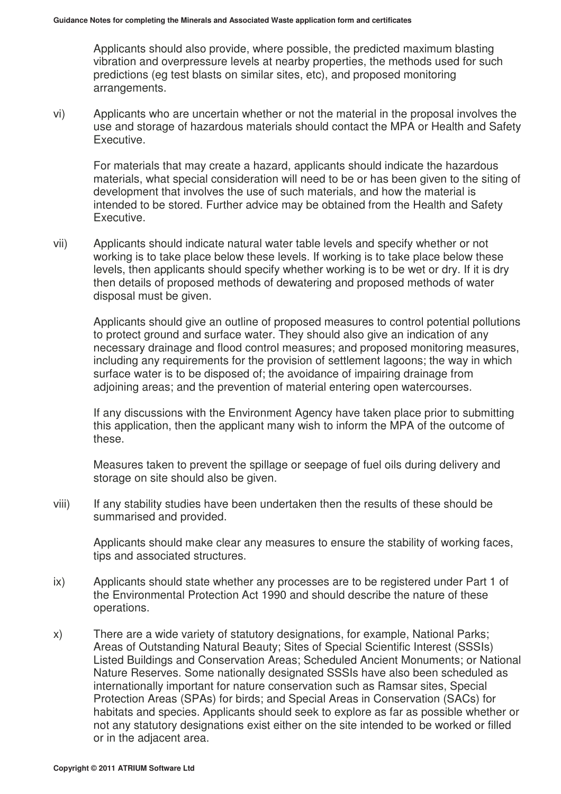Applicants should also provide, where possible, the predicted maximum blasting vibration and overpressure levels at nearby properties, the methods used for such predictions (eg test blasts on similar sites, etc), and proposed monitoring arrangements.

vi) Applicants who are uncertain whether or not the material in the proposal involves the use and storage of hazardous materials should contact the MPA or Health and Safety Executive.

 For materials that may create a hazard, applicants should indicate the hazardous materials, what special consideration will need to be or has been given to the siting of development that involves the use of such materials, and how the material is intended to be stored. Further advice may be obtained from the Health and Safety Executive.

vii) Applicants should indicate natural water table levels and specify whether or not working is to take place below these levels. If working is to take place below these levels, then applicants should specify whether working is to be wet or dry. If it is dry then details of proposed methods of dewatering and proposed methods of water disposal must be given.

 Applicants should give an outline of proposed measures to control potential pollutions to protect ground and surface water. They should also give an indication of any necessary drainage and flood control measures; and proposed monitoring measures, including any requirements for the provision of settlement lagoons; the way in which surface water is to be disposed of; the avoidance of impairing drainage from adjoining areas; and the prevention of material entering open watercourses.

 If any discussions with the Environment Agency have taken place prior to submitting this application, then the applicant many wish to inform the MPA of the outcome of these.

 Measures taken to prevent the spillage or seepage of fuel oils during delivery and storage on site should also be given.

viii) If any stability studies have been undertaken then the results of these should be summarised and provided.

 Applicants should make clear any measures to ensure the stability of working faces, tips and associated structures.

- ix) Applicants should state whether any processes are to be registered under Part 1 of the Environmental Protection Act 1990 and should describe the nature of these operations.
- x) There are a wide variety of statutory designations, for example, National Parks; Areas of Outstanding Natural Beauty; Sites of Special Scientific Interest (SSSIs) Listed Buildings and Conservation Areas; Scheduled Ancient Monuments; or National Nature Reserves. Some nationally designated SSSIs have also been scheduled as internationally important for nature conservation such as Ramsar sites, Special Protection Areas (SPAs) for birds; and Special Areas in Conservation (SACs) for habitats and species. Applicants should seek to explore as far as possible whether or not any statutory designations exist either on the site intended to be worked or filled or in the adjacent area.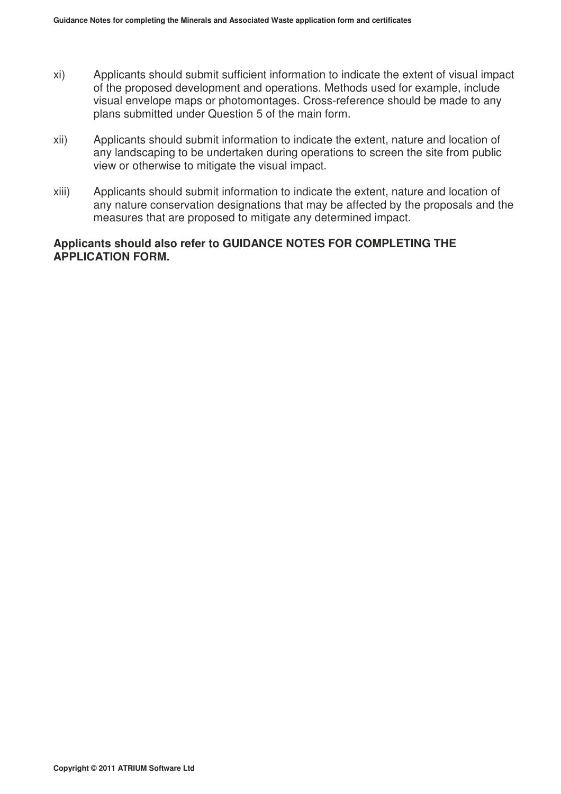- xi) Applicants should submit sufficient information to indicate the extent of visual impact of the proposed development and operations. Methods used for example, include visual envelope maps or photomontages. Cross-reference should be made to any plans submitted under Question 5 of the main form.
- xii) Applicants should submit information to indicate the extent, nature and location of any landscaping to be undertaken during operations to screen the site from public view or otherwise to mitigate the visual impact.
- xiii) Applicants should submit information to indicate the extent, nature and location of any nature conservation designations that may be affected by the proposals and the measures that are proposed to mitigate any determined impact.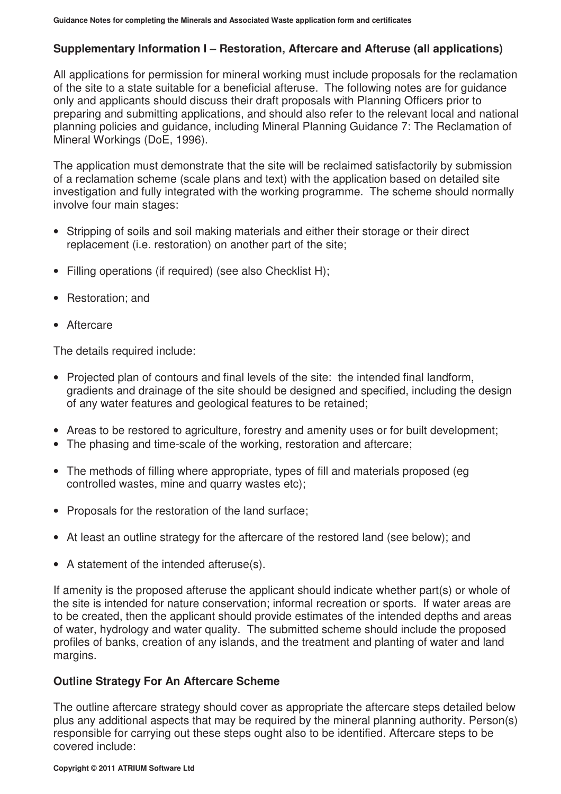# **Supplementary Information I – Restoration, Aftercare and Afteruse (all applications)**

All applications for permission for mineral working must include proposals for the reclamation of the site to a state suitable for a beneficial afteruse. The following notes are for guidance only and applicants should discuss their draft proposals with Planning Officers prior to preparing and submitting applications, and should also refer to the relevant local and national planning policies and guidance, including Mineral Planning Guidance 7: The Reclamation of Mineral Workings (DoE, 1996).

The application must demonstrate that the site will be reclaimed satisfactorily by submission of a reclamation scheme (scale plans and text) with the application based on detailed site investigation and fully integrated with the working programme. The scheme should normally involve four main stages:

- Stripping of soils and soil making materials and either their storage or their direct replacement (i.e. restoration) on another part of the site;
- Filling operations (if required) (see also Checklist H);
- Restoration; and
- Aftercare

The details required include:

- Projected plan of contours and final levels of the site: the intended final landform, gradients and drainage of the site should be designed and specified, including the design of any water features and geological features to be retained;
- Areas to be restored to agriculture, forestry and amenity uses or for built development:
- The phasing and time-scale of the working, restoration and aftercare;
- The methods of filling where appropriate, types of fill and materials proposed (eg controlled wastes, mine and quarry wastes etc);
- Proposals for the restoration of the land surface;
- At least an outline strategy for the aftercare of the restored land (see below); and
- A statement of the intended afteruse(s).

If amenity is the proposed afteruse the applicant should indicate whether part(s) or whole of the site is intended for nature conservation; informal recreation or sports. If water areas are to be created, then the applicant should provide estimates of the intended depths and areas of water, hydrology and water quality. The submitted scheme should include the proposed profiles of banks, creation of any islands, and the treatment and planting of water and land margins.

## **Outline Strategy For An Aftercare Scheme**

The outline aftercare strategy should cover as appropriate the aftercare steps detailed below plus any additional aspects that may be required by the mineral planning authority. Person(s) responsible for carrying out these steps ought also to be identified. Aftercare steps to be covered include: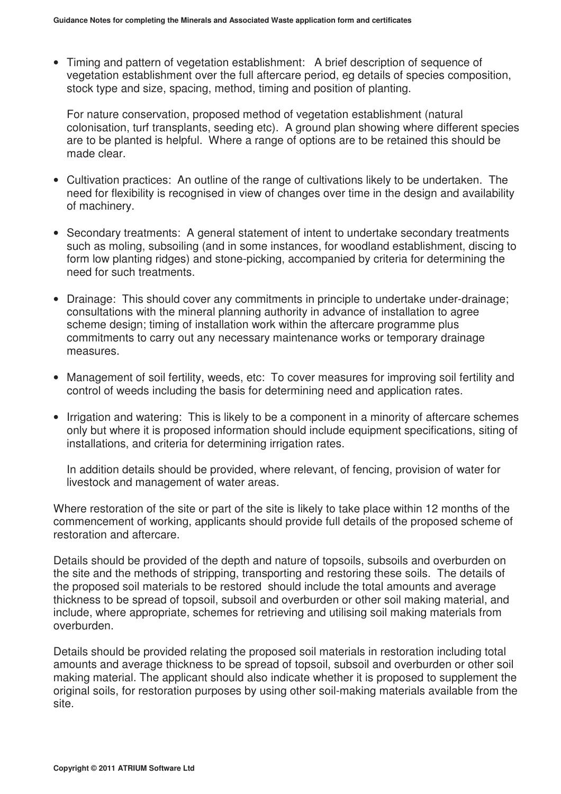• Timing and pattern of vegetation establishment: A brief description of sequence of vegetation establishment over the full aftercare period, eg details of species composition, stock type and size, spacing, method, timing and position of planting.

For nature conservation, proposed method of vegetation establishment (natural colonisation, turf transplants, seeding etc). A ground plan showing where different species are to be planted is helpful. Where a range of options are to be retained this should be made clear.

- Cultivation practices: An outline of the range of cultivations likely to be undertaken. The need for flexibility is recognised in view of changes over time in the design and availability of machinery.
- Secondary treatments: A general statement of intent to undertake secondary treatments such as moling, subsoiling (and in some instances, for woodland establishment, discing to form low planting ridges) and stone-picking, accompanied by criteria for determining the need for such treatments.
- Drainage: This should cover any commitments in principle to undertake under-drainage; consultations with the mineral planning authority in advance of installation to agree scheme design; timing of installation work within the aftercare programme plus commitments to carry out any necessary maintenance works or temporary drainage measures.
- Management of soil fertility, weeds, etc: To cover measures for improving soil fertility and control of weeds including the basis for determining need and application rates.
- Irrigation and watering: This is likely to be a component in a minority of aftercare schemes only but where it is proposed information should include equipment specifications, siting of installations, and criteria for determining irrigation rates.

In addition details should be provided, where relevant, of fencing, provision of water for livestock and management of water areas.

Where restoration of the site or part of the site is likely to take place within 12 months of the commencement of working, applicants should provide full details of the proposed scheme of restoration and aftercare.

Details should be provided of the depth and nature of topsoils, subsoils and overburden on the site and the methods of stripping, transporting and restoring these soils. The details of the proposed soil materials to be restored should include the total amounts and average thickness to be spread of topsoil, subsoil and overburden or other soil making material, and include, where appropriate, schemes for retrieving and utilising soil making materials from overburden.

Details should be provided relating the proposed soil materials in restoration including total amounts and average thickness to be spread of topsoil, subsoil and overburden or other soil making material. The applicant should also indicate whether it is proposed to supplement the original soils, for restoration purposes by using other soil-making materials available from the site.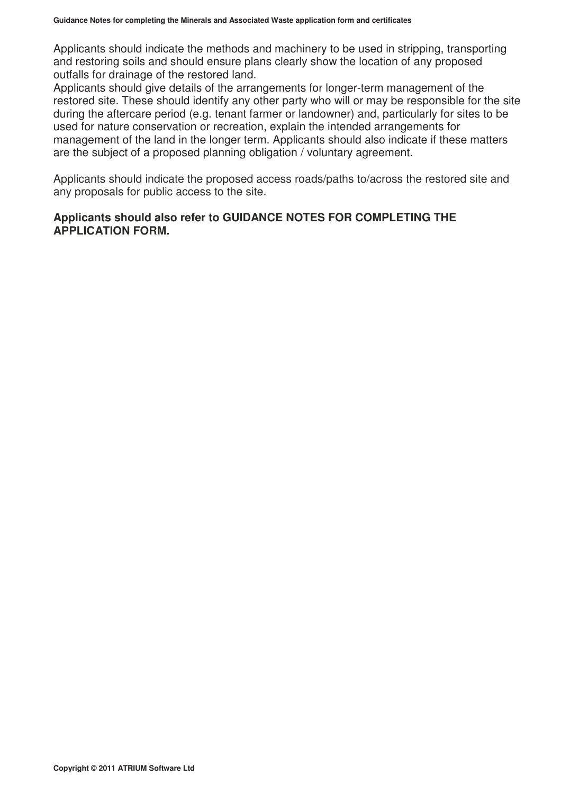Applicants should indicate the methods and machinery to be used in stripping, transporting and restoring soils and should ensure plans clearly show the location of any proposed outfalls for drainage of the restored land.

Applicants should give details of the arrangements for longer-term management of the restored site. These should identify any other party who will or may be responsible for the site during the aftercare period (e.g. tenant farmer or landowner) and, particularly for sites to be used for nature conservation or recreation, explain the intended arrangements for management of the land in the longer term. Applicants should also indicate if these matters are the subject of a proposed planning obligation / voluntary agreement.

Applicants should indicate the proposed access roads/paths to/across the restored site and any proposals for public access to the site.